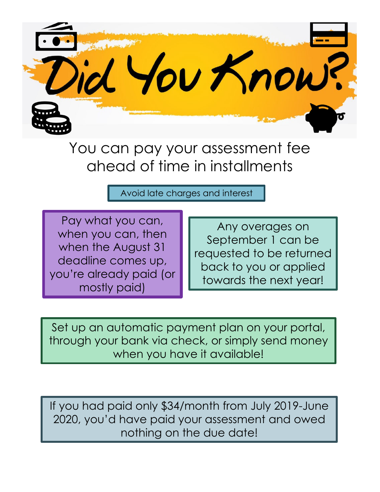

You can pay your assessment fee ahead of time in installments

Avoid late charges and interest

Pay what you can, when you can, then when the August 31 deadline comes up, you're already paid (or mostly paid)

Any overages on September 1 can be requested to be returned back to you or applied towards the next year!

Set up an automatic payment plan on your portal, through your bank via check, or simply send money when you have it available!

If you had paid only \$34/month from July 2019-June 2020, you'd have paid your assessment and owed nothing on the due date!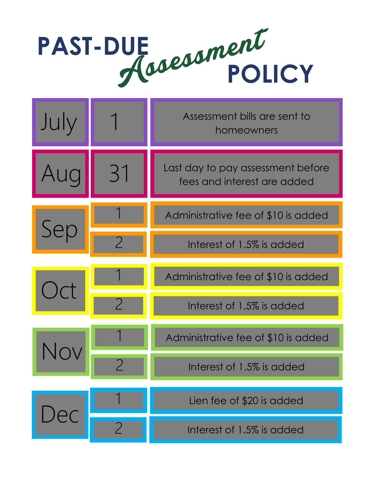## **PAST-DUE POLICY**